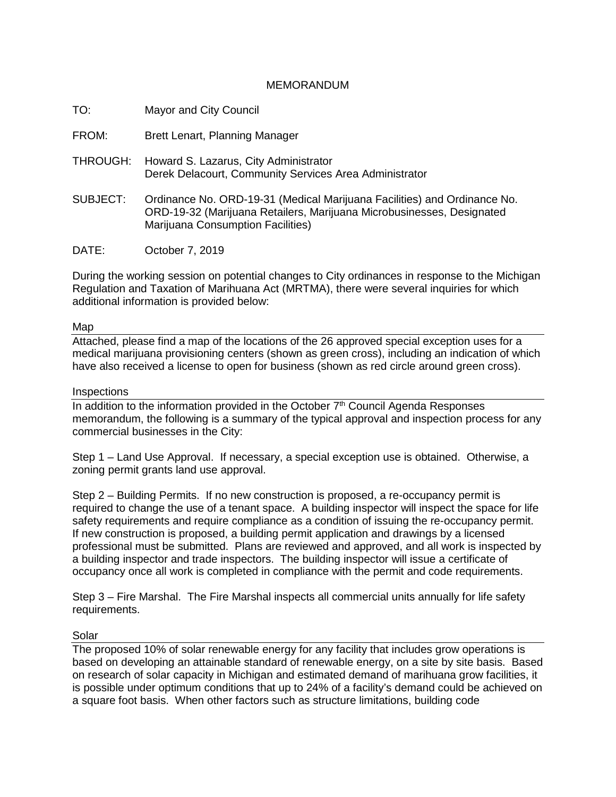## MEMORANDUM

TO: Mayor and City Council

FROM: Brett Lenart, Planning Manager

- THROUGH: Howard S. Lazarus, City Administrator Derek Delacourt, Community Services Area Administrator
- SUBJECT: Ordinance No. ORD-19-31 (Medical Marijuana Facilities) and Ordinance No. ORD-19-32 (Marijuana Retailers, Marijuana Microbusinesses, Designated Marijuana Consumption Facilities)
- DATE: October 7, 2019

During the working session on potential changes to City ordinances in response to the Michigan Regulation and Taxation of Marihuana Act (MRTMA), there were several inquiries for which additional information is provided below:

## Map

Attached, please find a map of the locations of the 26 approved special exception uses for a medical marijuana provisioning centers (shown as green cross), including an indication of which have also received a license to open for business (shown as red circle around green cross).

## **Inspections**

In addition to the information provided in the October  $7<sup>th</sup>$  Council Agenda Responses memorandum, the following is a summary of the typical approval and inspection process for any commercial businesses in the City:

Step 1 – Land Use Approval. If necessary, a special exception use is obtained. Otherwise, a zoning permit grants land use approval.

Step 2 – Building Permits. If no new construction is proposed, a re-occupancy permit is required to change the use of a tenant space. A building inspector will inspect the space for life safety requirements and require compliance as a condition of issuing the re-occupancy permit. If new construction is proposed, a building permit application and drawings by a licensed professional must be submitted. Plans are reviewed and approved, and all work is inspected by a building inspector and trade inspectors. The building inspector will issue a certificate of occupancy once all work is completed in compliance with the permit and code requirements.

Step 3 – Fire Marshal. The Fire Marshal inspects all commercial units annually for life safety requirements.

## Solar

The proposed 10% of solar renewable energy for any facility that includes grow operations is based on developing an attainable standard of renewable energy, on a site by site basis. Based on research of solar capacity in Michigan and estimated demand of marihuana grow facilities, it is possible under optimum conditions that up to 24% of a facility's demand could be achieved on a square foot basis. When other factors such as structure limitations, building code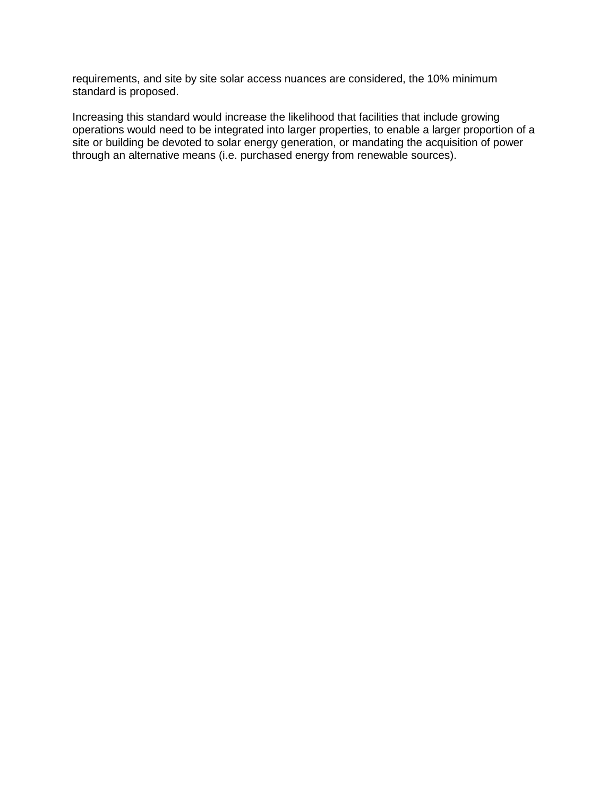requirements, and site by site solar access nuances are considered, the 10% minimum standard is proposed.

Increasing this standard would increase the likelihood that facilities that include growing operations would need to be integrated into larger properties, to enable a larger proportion of a site or building be devoted to solar energy generation, or mandating the acquisition of power through an alternative means (i.e. purchased energy from renewable sources).